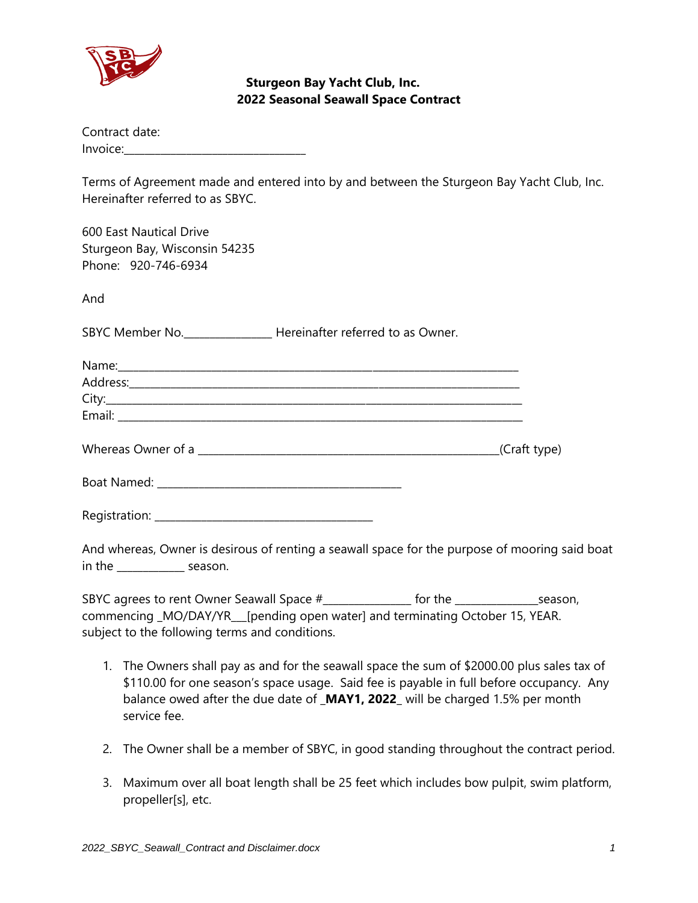

| Contract date:                                                                                                                                     |  |
|----------------------------------------------------------------------------------------------------------------------------------------------------|--|
| Terms of Agreement made and entered into by and between the Sturgeon Bay Yacht Club, Inc.<br>Hereinafter referred to as SBYC.                      |  |
| 600 East Nautical Drive<br>Sturgeon Bay, Wisconsin 54235<br>Phone: 920-746-6934                                                                    |  |
| And                                                                                                                                                |  |
| SBYC Member No. _________________ Hereinafter referred to as Owner.                                                                                |  |
|                                                                                                                                                    |  |
|                                                                                                                                                    |  |
|                                                                                                                                                    |  |
|                                                                                                                                                    |  |
|                                                                                                                                                    |  |
|                                                                                                                                                    |  |
|                                                                                                                                                    |  |
| And whereas, Owner is desirous of renting a seawall space for the purpose of mooring said boat<br>in the $\frac{1}{\sqrt{1-\frac{1}{2}}}\$ season. |  |

SBYC agrees to rent Owner Seawall Space #\_\_\_\_\_\_\_\_\_\_\_\_\_\_\_\_\_ for the \_\_\_\_\_\_\_\_\_\_\_\_\_\_\_\_season, commencing **\_**MO/DAY/YR**\_\_\_**[pending open water] and terminating October 15, YEAR. subject to the following terms and conditions.

- 1. The Owners shall pay as and for the seawall space the sum of \$2000.00 plus sales tax of \$110.00 for one season's space usage. Said fee is payable in full before occupancy. Any balance owed after the due date of **\_MAY1, 2022\_** will be charged 1.5% per month service fee.
- 2. The Owner shall be a member of SBYC, in good standing throughout the contract period.
- 3. Maximum over all boat length shall be 25 feet which includes bow pulpit, swim platform, propeller[s], etc.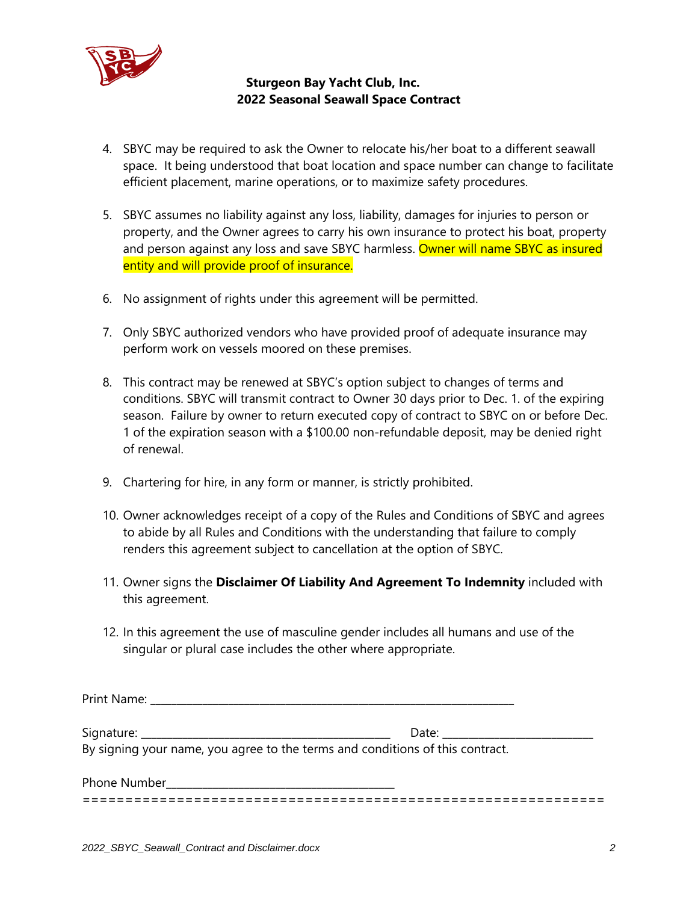

- 4. SBYC may be required to ask the Owner to relocate his/her boat to a different seawall space. It being understood that boat location and space number can change to facilitate efficient placement, marine operations, or to maximize safety procedures.
- 5. SBYC assumes no liability against any loss, liability, damages for injuries to person or property, and the Owner agrees to carry his own insurance to protect his boat, property and person against any loss and save SBYC harmless. Owner will name SBYC as insured entity and will provide proof of insurance.
- 6. No assignment of rights under this agreement will be permitted.
- 7. Only SBYC authorized vendors who have provided proof of adequate insurance may perform work on vessels moored on these premises.
- 8. This contract may be renewed at SBYC's option subject to changes of terms and conditions. SBYC will transmit contract to Owner 30 days prior to Dec. 1. of the expiring season. Failure by owner to return executed copy of contract to SBYC on or before Dec. 1 of the expiration season with a \$100.00 non-refundable deposit, may be denied right of renewal.
- 9. Chartering for hire, in any form or manner, is strictly prohibited.
- 10. Owner acknowledges receipt of a copy of the Rules and Conditions of SBYC and agrees to abide by all Rules and Conditions with the understanding that failure to comply renders this agreement subject to cancellation at the option of SBYC.
- 11. Owner signs the **Disclaimer Of Liability And Agreement To Indemnity** included with this agreement.
- 12. In this agreement the use of masculine gender includes all humans and use of the singular or plural case includes the other where appropriate.

| By signing your name, you agree to the terms and conditions of this contract. |  |
|-------------------------------------------------------------------------------|--|
|                                                                               |  |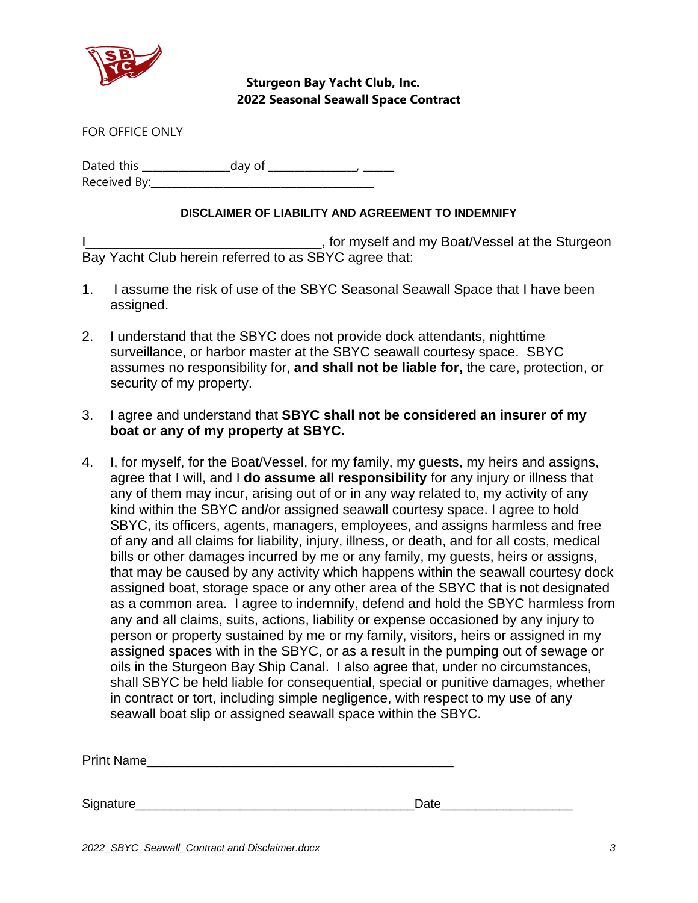

FOR OFFICE ONLY

Dated this \_\_\_\_\_\_\_\_\_\_\_\_\_\_\_\_\_day of \_\_\_\_\_\_\_\_\_\_\_\_\_\_\_\_\_, \_\_\_\_\_\_ Received By:\_\_\_\_\_\_\_\_\_\_\_\_\_\_\_\_\_\_\_\_\_\_\_\_\_\_\_\_\_\_\_\_\_\_\_\_\_\_\_\_\_\_\_

## **DISCLAIMER OF LIABILITY AND AGREEMENT TO INDEMNIFY**

I\_\_\_\_\_\_\_\_\_\_\_\_\_\_\_\_\_\_\_\_\_\_\_\_\_\_\_\_\_\_\_\_\_\_\_, for myself and my Boat/Vessel at the Sturgeon Bay Yacht Club herein referred to as SBYC agree that:

- 1. I assume the risk of use of the SBYC Seasonal Seawall Space that I have been assigned.
- 2. I understand that the SBYC does not provide dock attendants, nighttime surveillance, or harbor master at the SBYC seawall courtesy space. SBYC assumes no responsibility for, **and shall not be liable for,** the care, protection, or security of my property.
- 3. I agree and understand that **SBYC shall not be considered an insurer of my boat or any of my property at SBYC.**
- 4. I, for myself, for the Boat/Vessel, for my family, my guests, my heirs and assigns, agree that I will, and I **do assume all responsibility** for any injury or illness that any of them may incur, arising out of or in any way related to, my activity of any kind within the SBYC and/or assigned seawall courtesy space. I agree to hold SBYC, its officers, agents, managers, employees, and assigns harmless and free of any and all claims for liability, injury, illness, or death, and for all costs, medical bills or other damages incurred by me or any family, my guests, heirs or assigns, that may be caused by any activity which happens within the seawall courtesy dock assigned boat, storage space or any other area of the SBYC that is not designated as a common area. I agree to indemnify, defend and hold the SBYC harmless from any and all claims, suits, actions, liability or expense occasioned by any injury to person or property sustained by me or my family, visitors, heirs or assigned in my assigned spaces with in the SBYC, or as a result in the pumping out of sewage or oils in the Sturgeon Bay Ship Canal. I also agree that, under no circumstances, shall SBYC be held liable for consequential, special or punitive damages, whether in contract or tort, including simple negligence, with respect to my use of any seawall boat slip or assigned seawall space within the SBYC.

Print Name\_\_\_\_\_\_\_\_\_\_\_\_\_\_\_\_\_\_\_\_\_\_\_\_\_\_\_\_\_\_\_\_\_\_\_\_\_\_\_\_\_\_\_\_

Signature **Example 2018** Signature **Example 2018** Signature **Contract 2018** Signature **Contract 2018** Signature **Contract 2018** Signature **Contract 2018** Signature **Contract 2018** Signature **Contract 2018** Signature **Contr**